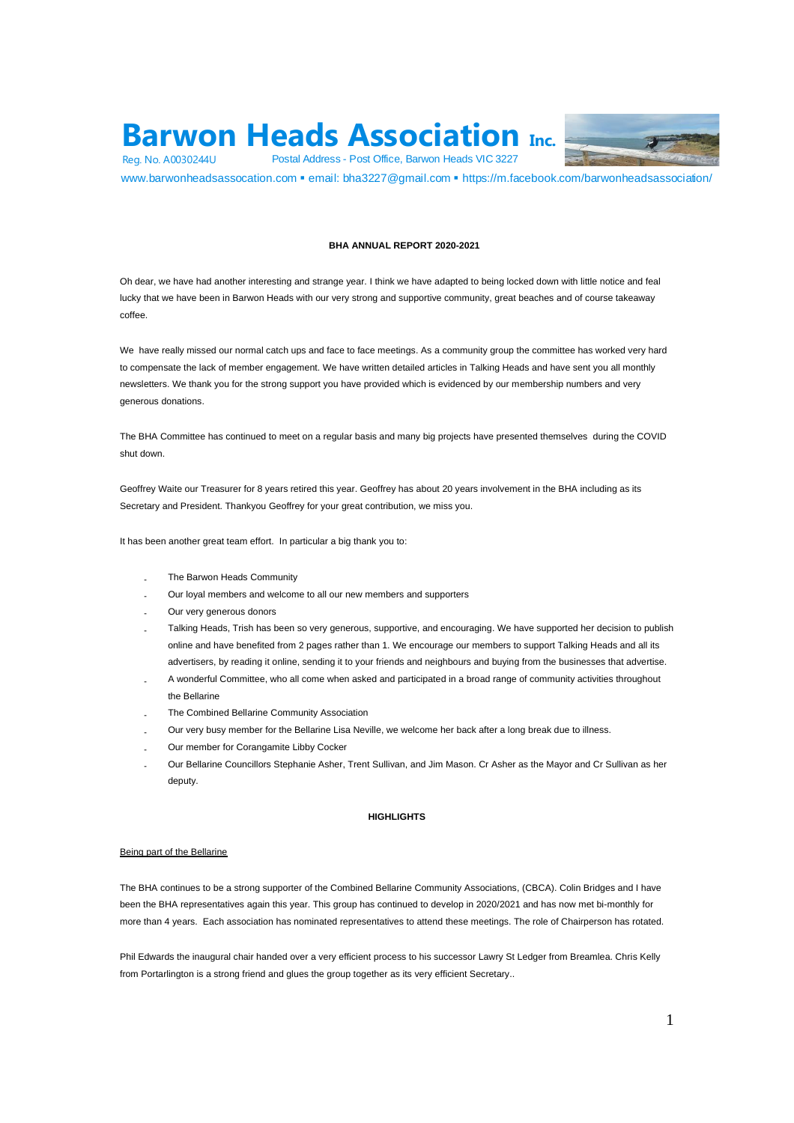# **Barwon Heads Association Inc.**<br>
Postal Address - Post Office, Barwon Heads VIC 3227<br>
www.barwonheadsassocation.com • email: bha3227@gmail.com • https://m.facebook.com/barwonheadsassociation/ Reg. No. A0030244U Postal Address - Post Office, Barwon Heads VIC 3227



# **BHA ANNUAL REPORT 2020-2021**

Oh dear, we have had another interesting and strange year. I think we have adapted to being locked down with little notice and feal lucky that we have been in Barwon Heads with our very strong and supportive community, great beaches and of course takeaway coffee.

We have really missed our normal catch ups and face to face meetings. As a community group the committee has worked very hard to compensate the lack of member engagement. We have written detailed articles in Talking Heads and have sent you all monthly newsletters. We thank you for the strong support you have provided which is evidenced by our membership numbers and very generous donations.

The BHA Committee has continued to meet on a regular basis and many big projects have presented themselves during the COVID shut down.

Geoffrey Waite our Treasurer for 8 years retired this year. Geoffrey has about 20 years involvement in the BHA including as its Secretary and President. Thankyou Geoffrey for your great contribution, we miss you.

It has been another great team effort. In particular a big thank you to:

- The Barwon Heads Community
- Our loyal members and welcome to all our new members and supporters
- Our very generous donors
- Talking Heads, Trish has been so very generous, supportive, and encouraging. We have supported her decision to publish online and have benefited from 2 pages rather than 1. We encourage our members to support Talking Heads and all its advertisers, by reading it online, sending it to your friends and neighbours and buying from the businesses that advertise.
- A wonderful Committee, who all come when asked and participated in a broad range of community activities throughout the Bellarine
- The Combined Bellarine Community Association
- Our very busy member for the Bellarine Lisa Neville, we welcome her back after a long break due to illness.
- Our member for Corangamite Libby Cocker
- Our Bellarine Councillors Stephanie Asher, Trent Sullivan, and Jim Mason. Cr Asher as the Mayor and Cr Sullivan as her deputy.

# **HIGHLIGHTS**

# Being part of the Bellarine

The BHA continues to be a strong supporter of the Combined Bellarine Community Associations, (CBCA). Colin Bridges and I have been the BHA representatives again this year. This group has continued to develop in 2020/2021 and has now met bi-monthly for more than 4 years. Each association has nominated representatives to attend these meetings. The role of Chairperson has rotated.

Phil Edwards the inaugural chair handed over a very efficient process to his successor Lawry St Ledger from Breamlea. Chris Kelly from Portarlington is a strong friend and glues the group together as its very efficient Secretary..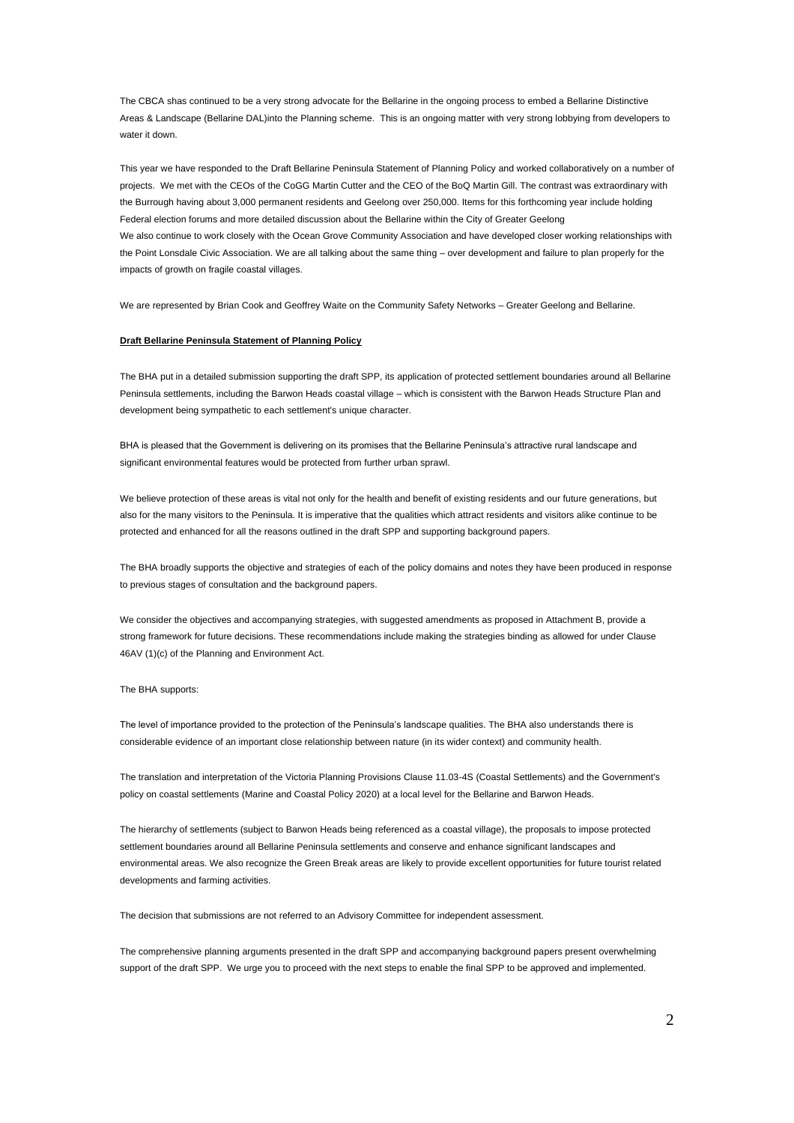The CBCA shas continued to be a very strong advocate for the Bellarine in the ongoing process to embed a Bellarine Distinctive Areas & Landscape (Bellarine DAL)into the Planning scheme. This is an ongoing matter with very strong lobbying from developers to water it down.

This year we have responded to the Draft Bellarine Peninsula Statement of Planning Policy and worked collaboratively on a number of projects. We met with the CEOs of the CoGG Martin Cutter and the CEO of the BoQ Martin Gill. The contrast was extraordinary with the Burrough having about 3,000 permanent residents and Geelong over 250,000. Items for this forthcoming year include holding Federal election forums and more detailed discussion about the Bellarine within the City of Greater Geelong We also continue to work closely with the Ocean Grove Community Association and have developed closer working relationships with the Point Lonsdale Civic Association. We are all talking about the same thing – over development and failure to plan properly for the impacts of growth on fragile coastal villages.

We are represented by Brian Cook and Geoffrey Waite on the Community Safety Networks – Greater Geelong and Bellarine.

# **Draft Bellarine Peninsula Statement of Planning Policy**

The BHA put in a detailed submission supporting the draft SPP, its application of protected settlement boundaries around all Bellarine Peninsula settlements, including the Barwon Heads coastal village – which is consistent with the Barwon Heads Structure Plan and development being sympathetic to each settlement's unique character.

BHA is pleased that the Government is delivering on its promises that the Bellarine Peninsula's attractive rural landscape and significant environmental features would be protected from further urban sprawl.

We believe protection of these areas is vital not only for the health and benefit of existing residents and our future generations, but also for the many visitors to the Peninsula. It is imperative that the qualities which attract residents and visitors alike continue to be protected and enhanced for all the reasons outlined in the draft SPP and supporting background papers.

The BHA broadly supports the objective and strategies of each of the policy domains and notes they have been produced in response to previous stages of consultation and the background papers.

We consider the objectives and accompanying strategies, with suggested amendments as proposed in Attachment B, provide a strong framework for future decisions. These recommendations include making the strategies binding as allowed for under Clause 46AV (1)(c) of the Planning and Environment Act.

## The BHA supports:

The level of importance provided to the protection of the Peninsula's landscape qualities. The BHA also understands there is considerable evidence of an important close relationship between nature (in its wider context) and community health.

The translation and interpretation of the Victoria Planning Provisions Clause 11.03-4S (Coastal Settlements) and the Government's policy on coastal settlements (Marine and Coastal Policy 2020) at a local level for the Bellarine and Barwon Heads.

The hierarchy of settlements (subject to Barwon Heads being referenced as a coastal village), the proposals to impose protected settlement boundaries around all Bellarine Peninsula settlements and conserve and enhance significant landscapes and environmental areas. We also recognize the Green Break areas are likely to provide excellent opportunities for future tourist related developments and farming activities.

The decision that submissions are not referred to an Advisory Committee for independent assessment.

The comprehensive planning arguments presented in the draft SPP and accompanying background papers present overwhelming support of the draft SPP. We urge you to proceed with the next steps to enable the final SPP to be approved and implemented.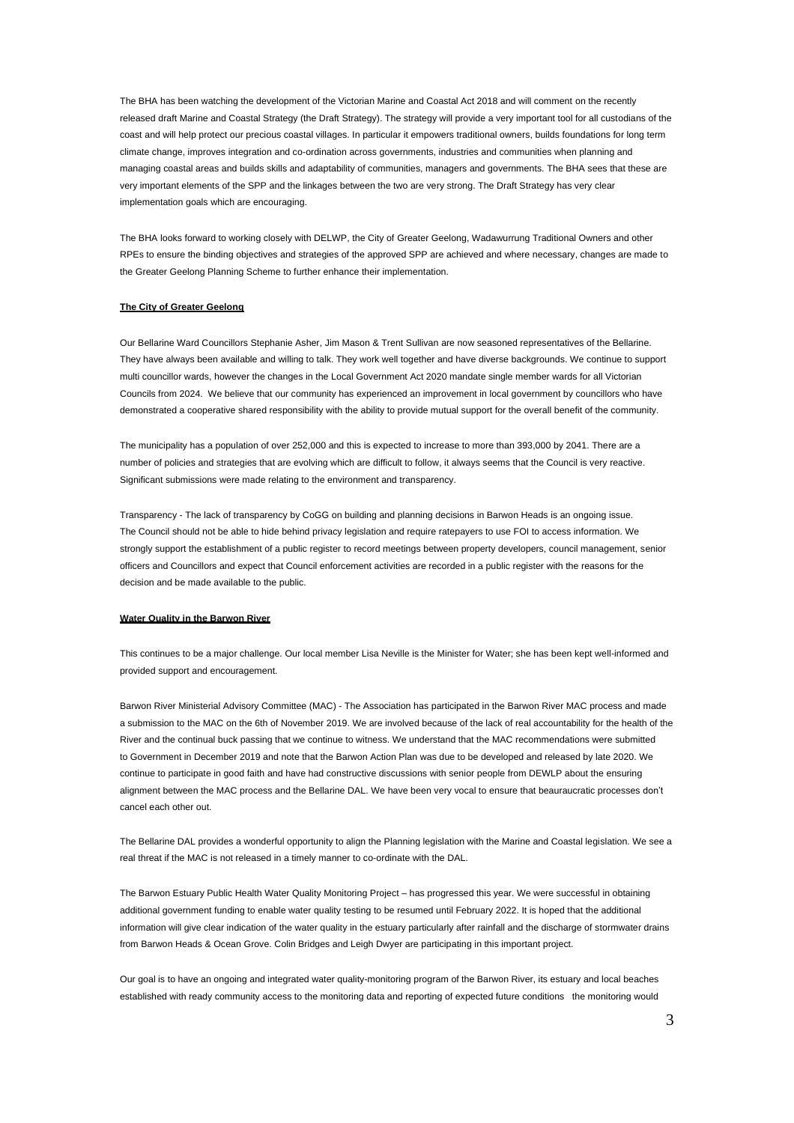The BHA has been watching the development of the Victorian Marine and Coastal Act 2018 and will comment on the recently released draft Marine and Coastal Strategy (the Draft Strategy). The strategy will provide a very important tool for all custodians of the coast and will help protect our precious coastal villages. In particular it empowers traditional owners, builds foundations for long term climate change, improves integration and co-ordination across governments, industries and communities when planning and managing coastal areas and builds skills and adaptability of communities, managers and governments. The BHA sees that these are very important elements of the SPP and the linkages between the two are very strong. The Draft Strategy has very clear implementation goals which are encouraging.

The BHA looks forward to working closely with DELWP, the City of Greater Geelong, Wadawurrung Traditional Owners and other RPEs to ensure the binding objectives and strategies of the approved SPP are achieved and where necessary, changes are made to the Greater Geelong Planning Scheme to further enhance their implementation.

# **The City of Greater Geelong**

Our Bellarine Ward Councillors Stephanie Asher, Jim Mason & Trent Sullivan are now seasoned representatives of the Bellarine. They have always been available and willing to talk. They work well together and have diverse backgrounds. We continue to support multi councillor wards, however the changes in the Local Government Act 2020 mandate single member wards for all Victorian Councils from 2024. We believe that our community has experienced an improvement in local government by councillors who have demonstrated a cooperative shared responsibility with the ability to provide mutual support for the overall benefit of the community.

The municipality has a population of over 252,000 and this is expected to increase to more than 393,000 by 2041. There are a number of policies and strategies that are evolving which are difficult to follow, it always seems that the Council is very reactive. Significant submissions were made relating to the environment and transparency.

Transparency - The lack of transparency by CoGG on building and planning decisions in Barwon Heads is an ongoing issue. The Council should not be able to hide behind privacy legislation and require ratepayers to use FOI to access information. We strongly support the establishment of a public register to record meetings between property developers, council management, senior officers and Councillors and expect that Council enforcement activities are recorded in a public register with the reasons for the decision and be made available to the public.

# **Water Quality in the Barwon River**

This continues to be a major challenge. Our local member Lisa Neville is the Minister for Water; she has been kept well-informed and provided support and encouragement.

Barwon River Ministerial Advisory Committee (MAC) - The Association has participated in the Barwon River MAC process and made a submission to the MAC on the 6th of November 2019. We are involved because of the lack of real accountability for the health of the River and the continual buck passing that we continue to witness. We understand that the MAC recommendations were submitted to Government in December 2019 and note that the Barwon Action Plan was due to be developed and released by late 2020. We continue to participate in good faith and have had constructive discussions with senior people from DEWLP about the ensuring alignment between the MAC process and the Bellarine DAL. We have been very vocal to ensure that beauraucratic processes don't cancel each other out.

The Bellarine DAL provides a wonderful opportunity to align the Planning legislation with the Marine and Coastal legislation. We see a real threat if the MAC is not released in a timely manner to co-ordinate with the DAL.

The Barwon Estuary Public Health Water Quality Monitoring Project – has progressed this year. We were successful in obtaining additional government funding to enable water quality testing to be resumed until February 2022. It is hoped that the additional information will give clear indication of the water quality in the estuary particularly after rainfall and the discharge of stormwater drains from Barwon Heads & Ocean Grove. Colin Bridges and Leigh Dwyer are participating in this important project.

Our goal is to have an ongoing and integrated water quality-monitoring program of the Barwon River, its estuary and local beaches established with ready community access to the monitoring data and reporting of expected future conditions the monitoring would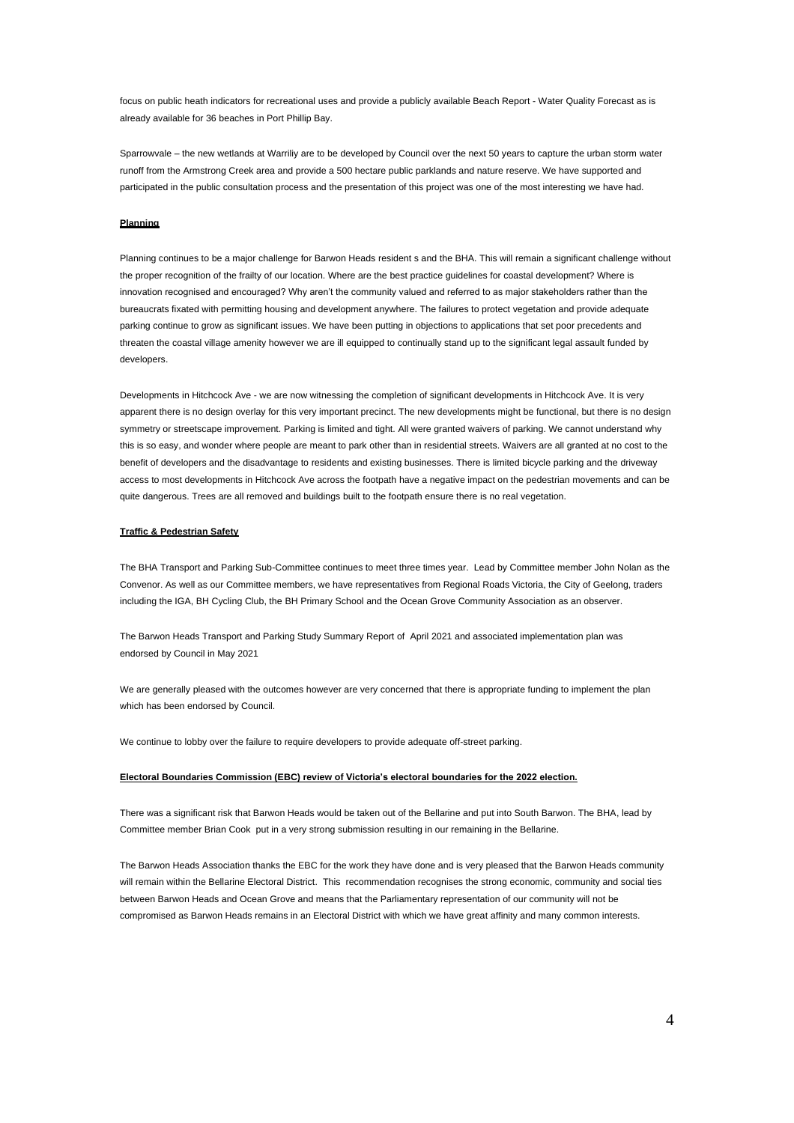focus on public heath indicators for recreational uses and provide a publicly available Beach Report - Water Quality Forecast as is already available for 36 beaches in Port Phillip Bay.

Sparrowvale – the new wetlands at Warriliy are to be developed by Council over the next 50 years to capture the urban storm water runoff from the Armstrong Creek area and provide a 500 hectare public parklands and nature reserve. We have supported and participated in the public consultation process and the presentation of this project was one of the most interesting we have had.

# **Planning**

Planning continues to be a major challenge for Barwon Heads resident s and the BHA. This will remain a significant challenge without the proper recognition of the frailty of our location. Where are the best practice guidelines for coastal development? Where is innovation recognised and encouraged? Why aren't the community valued and referred to as major stakeholders rather than the bureaucrats fixated with permitting housing and development anywhere. The failures to protect vegetation and provide adequate parking continue to grow as significant issues. We have been putting in objections to applications that set poor precedents and threaten the coastal village amenity however we are ill equipped to continually stand up to the significant legal assault funded by developers.

Developments in Hitchcock Ave - we are now witnessing the completion of significant developments in Hitchcock Ave. It is very apparent there is no design overlay for this very important precinct. The new developments might be functional, but there is no design symmetry or streetscape improvement. Parking is limited and tight. All were granted waivers of parking. We cannot understand why this is so easy, and wonder where people are meant to park other than in residential streets. Waivers are all granted at no cost to the benefit of developers and the disadvantage to residents and existing businesses. There is limited bicycle parking and the driveway access to most developments in Hitchcock Ave across the footpath have a negative impact on the pedestrian movements and can be quite dangerous. Trees are all removed and buildings built to the footpath ensure there is no real vegetation.

# **Traffic & Pedestrian Safety**

The BHA Transport and Parking Sub-Committee continues to meet three times year. Lead by Committee member John Nolan as the Convenor. As well as our Committee members, we have representatives from Regional Roads Victoria, the City of Geelong, traders including the IGA, BH Cycling Club, the BH Primary School and the Ocean Grove Community Association as an observer.

The Barwon Heads Transport and Parking Study Summary Report of April 2021 and associated implementation plan was endorsed by Council in May 2021

We are generally pleased with the outcomes however are very concerned that there is appropriate funding to implement the plan which has been endorsed by Council.

We continue to lobby over the failure to require developers to provide adequate off-street parking.

#### **Electoral Boundaries Commission (EBC) review of Victoria's electoral boundaries for the 2022 election.**

There was a significant risk that Barwon Heads would be taken out of the Bellarine and put into South Barwon. The BHA, lead by Committee member Brian Cook put in a very strong submission resulting in our remaining in the Bellarine.

The Barwon Heads Association thanks the EBC for the work they have done and is very pleased that the Barwon Heads community will remain within the Bellarine Electoral District. This recommendation recognises the strong economic, community and social ties between Barwon Heads and Ocean Grove and means that the Parliamentary representation of our community will not be compromised as Barwon Heads remains in an Electoral District with which we have great affinity and many common interests.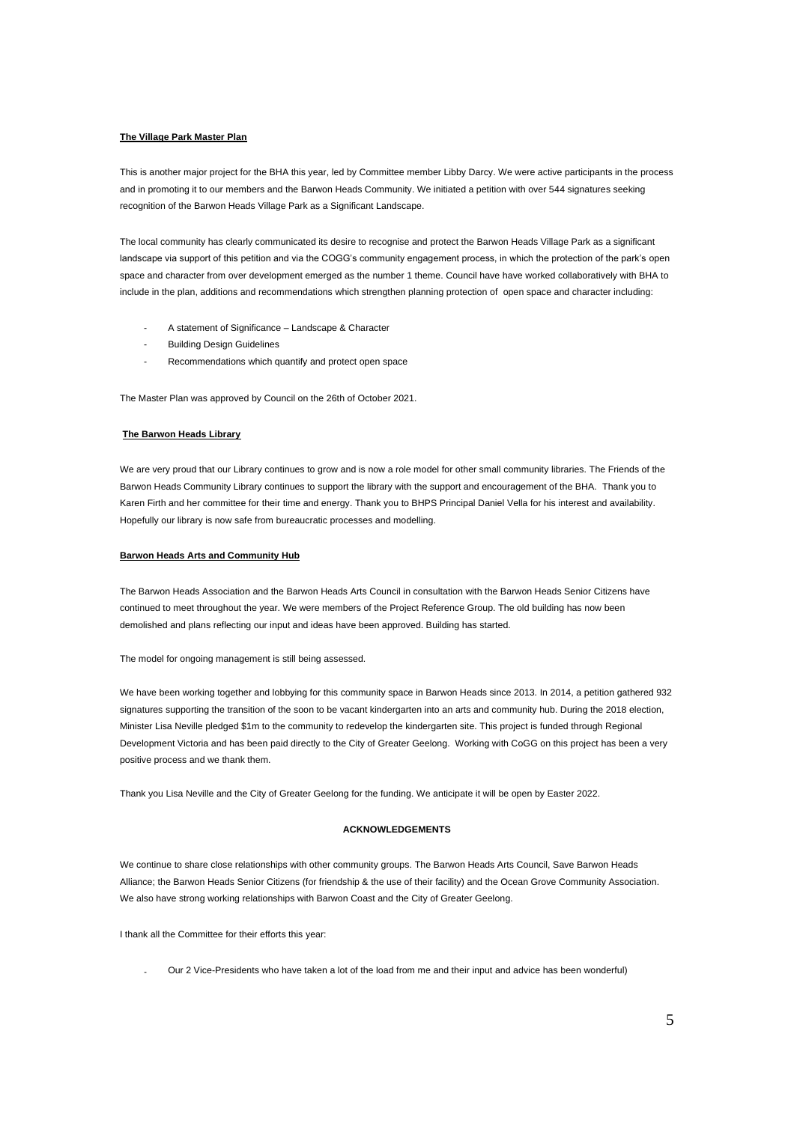# **The Village Park Master Plan**

This is another major project for the BHA this year, led by Committee member Libby Darcy. We were active participants in the process and in promoting it to our members and the Barwon Heads Community. We initiated a petition with over 544 signatures seeking recognition of the Barwon Heads Village Park as a Significant Landscape.

The local community has clearly communicated its desire to recognise and protect the Barwon Heads Village Park as a significant landscape via support of this petition and via the COGG's community engagement process, in which the protection of the park's open space and character from over development emerged as the number 1 theme. Council have have worked collaboratively with BHA to include in the plan, additions and recommendations which strengthen planning protection of open space and character including:

- A statement of Significance Landscape & Character
- **Building Design Guidelines**
- Recommendations which quantify and protect open space

The Master Plan was approved by Council on the 26th of October 2021.

# **The Barwon Heads Library**

We are very proud that our Library continues to grow and is now a role model for other small community libraries. The Friends of the Barwon Heads Community Library continues to support the library with the support and encouragement of the BHA. Thank you to Karen Firth and her committee for their time and energy. Thank you to BHPS Principal Daniel Vella for his interest and availability. Hopefully our library is now safe from bureaucratic processes and modelling.

# **Barwon Heads Arts and Community Hub**

The Barwon Heads Association and the Barwon Heads Arts Council in consultation with the Barwon Heads Senior Citizens have continued to meet throughout the year. We were members of the Project Reference Group. The old building has now been demolished and plans reflecting our input and ideas have been approved. Building has started.

The model for ongoing management is still being assessed.

We have been working together and lobbying for this community space in Barwon Heads since 2013. In 2014, a petition gathered 932 signatures supporting the transition of the soon to be vacant kindergarten into an arts and community hub. During the 2018 election, Minister Lisa Neville pledged \$1m to the community to redevelop the kindergarten site. This project is funded through Regional Development Victoria and has been paid directly to the City of Greater Geelong. Working with CoGG on this project has been a very positive process and we thank them.

Thank you Lisa Neville and the City of Greater Geelong for the funding. We anticipate it will be open by Easter 2022.

# **ACKNOWLEDGEMENTS**

We continue to share close relationships with other community groups. The Barwon Heads Arts Council, Save Barwon Heads Alliance; the Barwon Heads Senior Citizens (for friendship & the use of their facility) and the Ocean Grove Community Association. We also have strong working relationships with Barwon Coast and the City of Greater Geelong.

I thank all the Committee for their efforts this year:

- Our 2 Vice-Presidents who have taken a lot of the load from me and their input and advice has been wonderful)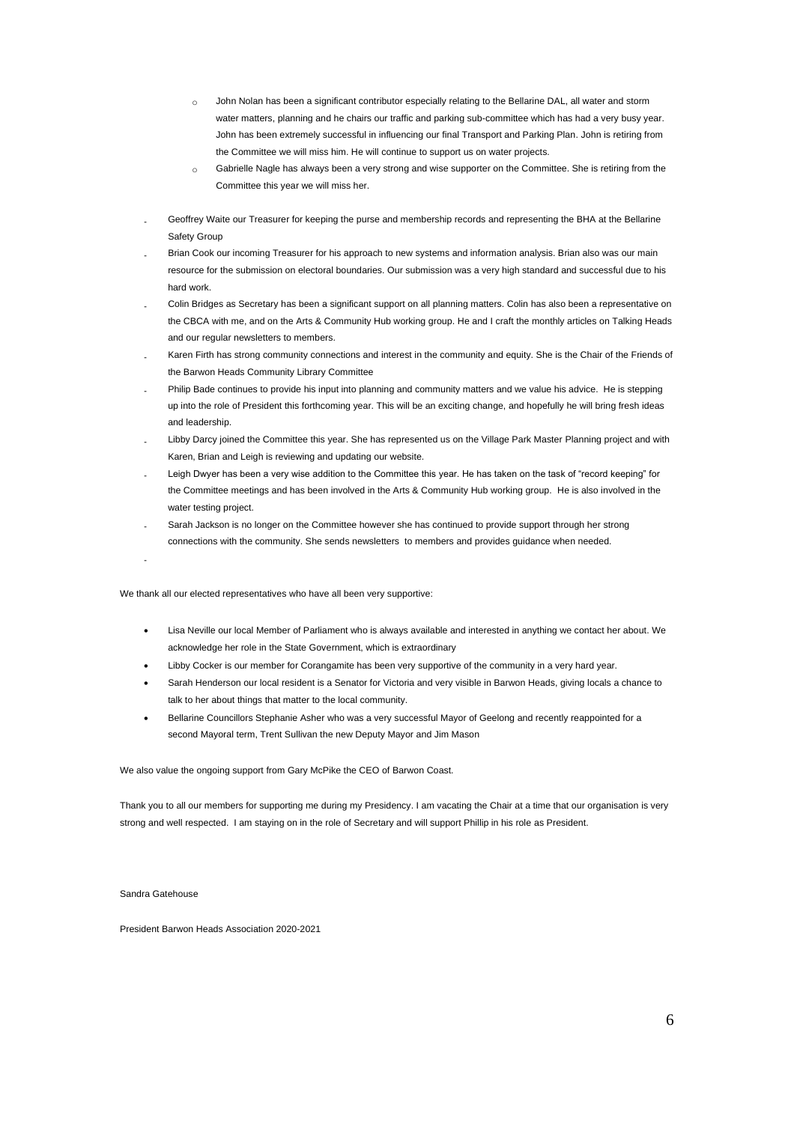- $\circ$  John Nolan has been a significant contributor especially relating to the Bellarine DAL, all water and storm water matters, planning and he chairs our traffic and parking sub-committee which has had a very busy year. John has been extremely successful in influencing our final Transport and Parking Plan. John is retiring from the Committee we will miss him. He will continue to support us on water projects.
- o Gabrielle Nagle has always been a very strong and wise supporter on the Committee. She is retiring from the Committee this year we will miss her.
- Geoffrey Waite our Treasurer for keeping the purse and membership records and representing the BHA at the Bellarine Safety Group
- Brian Cook our incoming Treasurer for his approach to new systems and information analysis. Brian also was our main resource for the submission on electoral boundaries. Our submission was a very high standard and successful due to his hard work.
- Colin Bridges as Secretary has been a significant support on all planning matters. Colin has also been a representative on the CBCA with me, and on the Arts & Community Hub working group. He and I craft the monthly articles on Talking Heads and our regular newsletters to members.
- Karen Firth has strong community connections and interest in the community and equity. She is the Chair of the Friends of the Barwon Heads Community Library Committee
- Philip Bade continues to provide his input into planning and community matters and we value his advice. He is stepping up into the role of President this forthcoming year. This will be an exciting change, and hopefully he will bring fresh ideas and leadership.
- Libby Darcy joined the Committee this year. She has represented us on the Village Park Master Planning project and with Karen, Brian and Leigh is reviewing and updating our website.
- Leigh Dwyer has been a very wise addition to the Committee this year. He has taken on the task of "record keeping" for the Committee meetings and has been involved in the Arts & Community Hub working group. He is also involved in the water testing project.
- Sarah Jackson is no longer on the Committee however she has continued to provide support through her strong connections with the community. She sends newsletters to members and provides guidance when needed.

-

We thank all our elected representatives who have all been very supportive:

- Lisa Neville our local Member of Parliament who is always available and interested in anything we contact her about. We acknowledge her role in the State Government, which is extraordinary
- Libby Cocker is our member for Corangamite has been very supportive of the community in a very hard year.
- Sarah Henderson our local resident is a Senator for Victoria and very visible in Barwon Heads, giving locals a chance to talk to her about things that matter to the local community.
- Bellarine Councillors Stephanie Asher who was a very successful Mayor of Geelong and recently reappointed for a second Mayoral term, Trent Sullivan the new Deputy Mayor and Jim Mason

We also value the ongoing support from Gary McPike the CEO of Barwon Coast.

Thank you to all our members for supporting me during my Presidency. I am vacating the Chair at a time that our organisation is very strong and well respected. I am staying on in the role of Secretary and will support Phillip in his role as President.

Sandra Gatehouse

President Barwon Heads Association 2020-2021